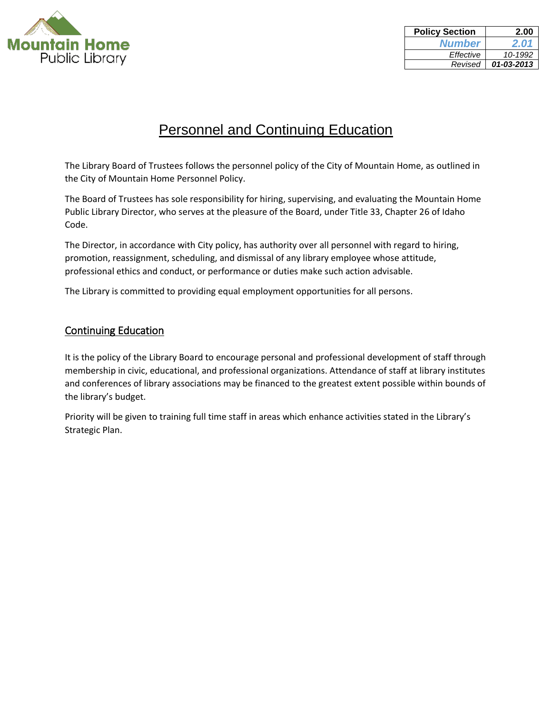

| <b>Policy Section</b> | 2.00       |
|-----------------------|------------|
| <b>Number</b>         | 2.01       |
| Effective             | 10-1992    |
| Revised               | 01-03-2013 |

## Personnel and Continuing Education

The Library Board of Trustees follows the personnel policy of the City of Mountain Home, as outlined in the City of Mountain Home Personnel Policy.

The Board of Trustees has sole responsibility for hiring, supervising, and evaluating the Mountain Home Public Library Director, who serves at the pleasure of the Board, under Title 33, Chapter 26 of Idaho Code.

The Director, in accordance with City policy, has authority over all personnel with regard to hiring, promotion, reassignment, scheduling, and dismissal of any library employee whose attitude, professional ethics and conduct, or performance or duties make such action advisable.

The Library is committed to providing equal employment opportunities for all persons.

## Continuing Education

It is the policy of the Library Board to encourage personal and professional development of staff through membership in civic, educational, and professional organizations. Attendance of staff at library institutes and conferences of library associations may be financed to the greatest extent possible within bounds of the library's budget.

Priority will be given to training full time staff in areas which enhance activities stated in the Library's Strategic Plan.